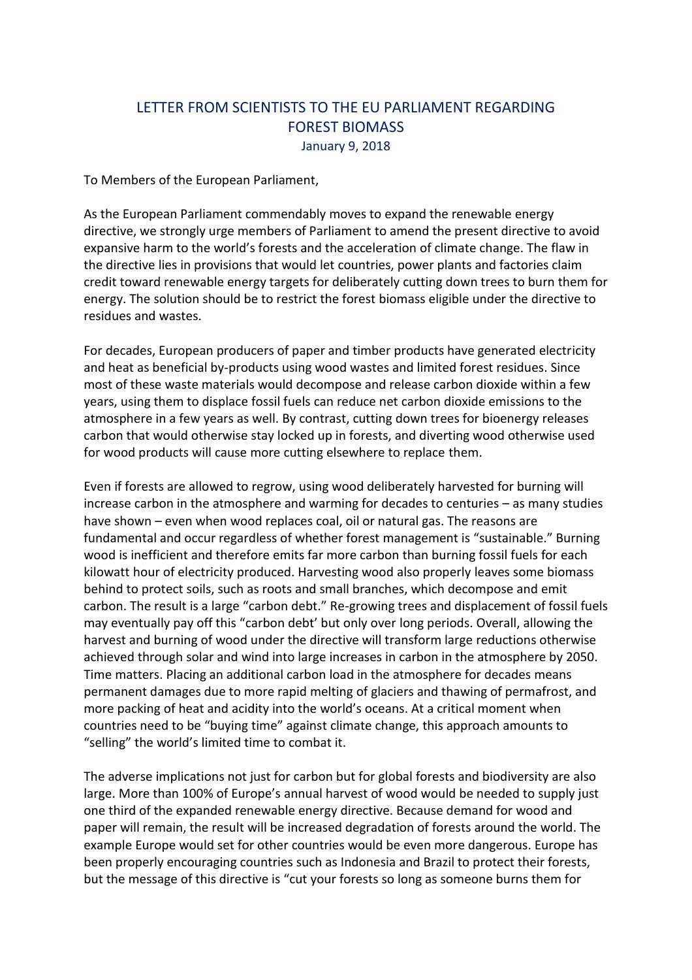## LETTER FROM SCIENTISTS TO THE EU PARLIAMENT REGARDING FOREST BIOMASS January 9, 2018

To Members of the European Parliament,

As the European Parliament commendably moves to expand the renewable energy directive, we strongly urge members of Parliament to amend the present directive to avoid expansive harm to the world's forests and the acceleration of climate change. The flaw in the directive lies in provisions that would let countries, power plants and factories claim credit toward renewable energy targets for deliberately cutting down trees to burn them for energy. The solution should be to restrict the forest biomass eligible under the directive to residues and wastes.

For decades, European producers of paper and timber products have generated electricity and heat as beneficial by-products using wood wastes and limited forest residues. Since most of these waste materials would decompose and release carbon dioxide within a few years, using them to displace fossil fuels can reduce net carbon dioxide emissions to the atmosphere in a few years as well. By contrast, cutting down trees for bioenergy releases carbon that would otherwise stay locked up in forests, and diverting wood otherwise used for wood products will cause more cutting elsewhere to replace them.

Even if forests are allowed to regrow, using wood deliberately harvested for burning will increase carbon in the atmosphere and warming for decades to centuries – as many studies have shown – even when wood replaces coal, oil or natural gas. The reasons are fundamental and occur regardless of whether forest management is "sustainable." Burning wood is inefficient and therefore emits far more carbon than burning fossil fuels for each kilowatt hour of electricity produced. Harvesting wood also properly leaves some biomass behind to protect soils, such as roots and small branches, which decompose and emit carbon. The result is a large "carbon debt." Re-growing trees and displacement of fossil fuels may eventually pay off this "carbon debt' but only over long periods. Overall, allowing the harvest and burning of wood under the directive will transform large reductions otherwise achieved through solar and wind into large increases in carbon in the atmosphere by 2050. Time matters. Placing an additional carbon load in the atmosphere for decades means permanent damages due to more rapid melting of glaciers and thawing of permafrost, and more packing of heat and acidity into the world's oceans. At a critical moment when countries need to be "buying time" against climate change, this approach amounts to "selling" the world's limited time to combat it.

The adverse implications not just for carbon but for global forests and biodiversity are also large. More than 100% of Europe's annual harvest of wood would be needed to supply just one third of the expanded renewable energy directive. Because demand for wood and paper will remain, the result will be increased degradation of forests around the world. The example Europe would set for other countries would be even more dangerous. Europe has been properly encouraging countries such as Indonesia and Brazil to protect their forests, but the message of this directive is "cut your forests so long as someone burns them for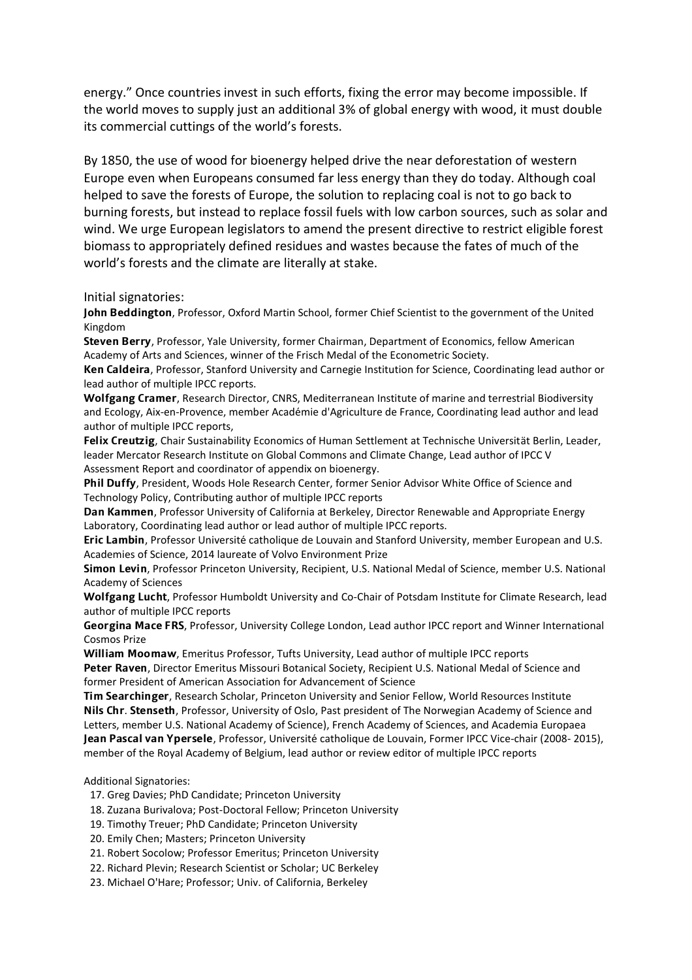energy." Once countries invest in such efforts, fixing the error may become impossible. If the world moves to supply just an additional 3% of global energy with wood, it must double its commercial cuttings of the world's forests.

By 1850, the use of wood for bioenergy helped drive the near deforestation of western Europe even when Europeans consumed far less energy than they do today. Although coal helped to save the forests of Europe, the solution to replacing coal is not to go back to burning forests, but instead to replace fossil fuels with low carbon sources, such as solar and wind. We urge European legislators to amend the present directive to restrict eligible forest biomass to appropriately defined residues and wastes because the fates of much of the world's forests and the climate are literally at stake.

## Initial signatories:

John Beddington, Professor, Oxford Martin School, former Chief Scientist to the government of the United Kingdom

Steven Berry, Professor, Yale University, former Chairman, Department of Economics, fellow American Academy of Arts and Sciences, winner of the Frisch Medal of the Econometric Society.

Ken Caldeira, Professor, Stanford University and Carnegie Institution for Science, Coordinating lead author or lead author of multiple IPCC reports.

Wolfgang Cramer, Research Director, CNRS, Mediterranean Institute of marine and terrestrial Biodiversity and Ecology, Aix-en-Provence, member Académie d'Agriculture de France, Coordinating lead author and lead author of multiple IPCC reports,

Felix Creutzig, Chair Sustainability Economics of Human Settlement at Technische Universität Berlin, Leader, leader Mercator Research Institute on Global Commons and Climate Change, Lead author of IPCC V Assessment Report and coordinator of appendix on bioenergy.

Phil Duffy, President, Woods Hole Research Center, former Senior Advisor White Office of Science and Technology Policy, Contributing author of multiple IPCC reports

Dan Kammen, Professor University of California at Berkeley, Director Renewable and Appropriate Energy Laboratory, Coordinating lead author or lead author of multiple IPCC reports.

Eric Lambin, Professor Université catholique de Louvain and Stanford University, member European and U.S. Academies of Science, 2014 laureate of Volvo Environment Prize

Simon Levin, Professor Princeton University, Recipient, U.S. National Medal of Science, member U.S. National Academy of Sciences

Wolfgang Lucht, Professor Humboldt University and Co-Chair of Potsdam Institute for Climate Research, lead author of multiple IPCC reports

Georgina Mace FRS, Professor, University College London, Lead author IPCC report and Winner International Cosmos Prize

William Moomaw, Emeritus Professor, Tufts University, Lead author of multiple IPCC reports Peter Raven, Director Emeritus Missouri Botanical Society, Recipient U.S. National Medal of Science and former President of American Association for Advancement of Science

Tim Searchinger, Research Scholar, Princeton University and Senior Fellow, World Resources Institute Nils Chr. Stenseth, Professor, University of Oslo, Past president of The Norwegian Academy of Science and Letters, member U.S. National Academy of Science), French Academy of Sciences, and Academia Europaea Jean Pascal van Ypersele, Professor, Université catholique de Louvain, Former IPCC Vice-chair (2008- 2015), member of the Royal Academy of Belgium, lead author or review editor of multiple IPCC reports

## Additional Signatories:

- 17. Greg Davies; PhD Candidate; Princeton University
- 18. Zuzana Burivalova; Post-Doctoral Fellow; Princeton University
- 19. Timothy Treuer; PhD Candidate; Princeton University
- 20. Emily Chen; Masters; Princeton University
- 21. Robert Socolow; Professor Emeritus; Princeton University
- 22. Richard Plevin; Research Scientist or Scholar; UC Berkeley
- 23. Michael O'Hare; Professor; Univ. of California, Berkeley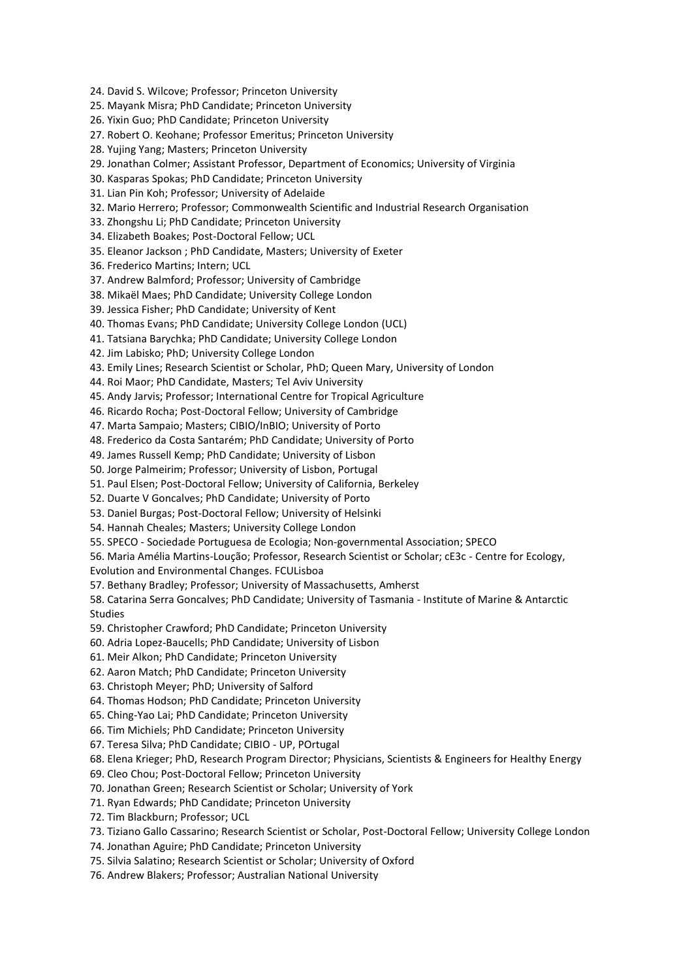24. David S. Wilcove; Professor; Princeton University

25. Mayank Misra; PhD Candidate; Princeton University

26. Yixin Guo; PhD Candidate; Princeton University

27. Robert O. Keohane; Professor Emeritus; Princeton University

28. Yujing Yang; Masters; Princeton University

29. Jonathan Colmer; Assistant Professor, Department of Economics; University of Virginia

30. Kasparas Spokas; PhD Candidate; Princeton University

31. Lian Pin Koh; Professor; University of Adelaide

32. Mario Herrero; Professor; Commonwealth Scientific and Industrial Research Organisation

33. Zhongshu Li; PhD Candidate; Princeton University

34. Elizabeth Boakes; Post-Doctoral Fellow; UCL

35. Eleanor Jackson ; PhD Candidate, Masters; University of Exeter

36. Frederico Martins; Intern; UCL

37. Andrew Balmford; Professor; University of Cambridge

38. Mikaël Maes; PhD Candidate; University College London

39. Jessica Fisher; PhD Candidate; University of Kent

40. Thomas Evans; PhD Candidate; University College London (UCL)

41. Tatsiana Barychka; PhD Candidate; University College London

42. Jim Labisko; PhD; University College London

43. Emily Lines; Research Scientist or Scholar, PhD; Queen Mary, University of London

44. Roi Maor; PhD Candidate, Masters; Tel Aviv University

45. Andy Jarvis; Professor; International Centre for Tropical Agriculture

46. Ricardo Rocha; Post-Doctoral Fellow; University of Cambridge

47. Marta Sampaio; Masters; CIBIO/InBIO; University of Porto

48. Frederico da Costa Santarém; PhD Candidate; University of Porto

49. James Russell Kemp; PhD Candidate; University of Lisbon

50. Jorge Palmeirim; Professor; University of Lisbon, Portugal

51. Paul Elsen; Post-Doctoral Fellow; University of California, Berkeley

52. Duarte V Goncalves; PhD Candidate; University of Porto

53. Daniel Burgas; Post-Doctoral Fellow; University of Helsinki

54. Hannah Cheales; Masters; University College London

55. SPECO - Sociedade Portuguesa de Ecologia; Non-governmental Association; SPECO

56. Maria Amélia Martins-Loução; Professor, Research Scientist or Scholar; cE3c - Centre for Ecology,

Evolution and Environmental Changes. FCULisboa

57. Bethany Bradley; Professor; University of Massachusetts, Amherst

58. Catarina Serra Goncalves; PhD Candidate; University of Tasmania - Institute of Marine & Antarctic **Studies** 

59. Christopher Crawford; PhD Candidate; Princeton University

60. Adria Lopez-Baucells; PhD Candidate; University of Lisbon

61. Meir Alkon; PhD Candidate; Princeton University

62. Aaron Match; PhD Candidate; Princeton University

63. Christoph Meyer; PhD; University of Salford

64. Thomas Hodson; PhD Candidate; Princeton University

65. Ching-Yao Lai; PhD Candidate; Princeton University

66. Tim Michiels; PhD Candidate; Princeton University

67. Teresa Silva; PhD Candidate; CIBIO - UP, POrtugal

68. Elena Krieger; PhD, Research Program Director; Physicians, Scientists & Engineers for Healthy Energy

69. Cleo Chou; Post-Doctoral Fellow; Princeton University

70. Jonathan Green; Research Scientist or Scholar; University of York

71. Ryan Edwards; PhD Candidate; Princeton University

72. Tim Blackburn; Professor; UCL

73. Tiziano Gallo Cassarino; Research Scientist or Scholar, Post-Doctoral Fellow; University College London

74. Jonathan Aguire; PhD Candidate; Princeton University

75. Silvia Salatino; Research Scientist or Scholar; University of Oxford

76. Andrew Blakers; Professor; Australian National University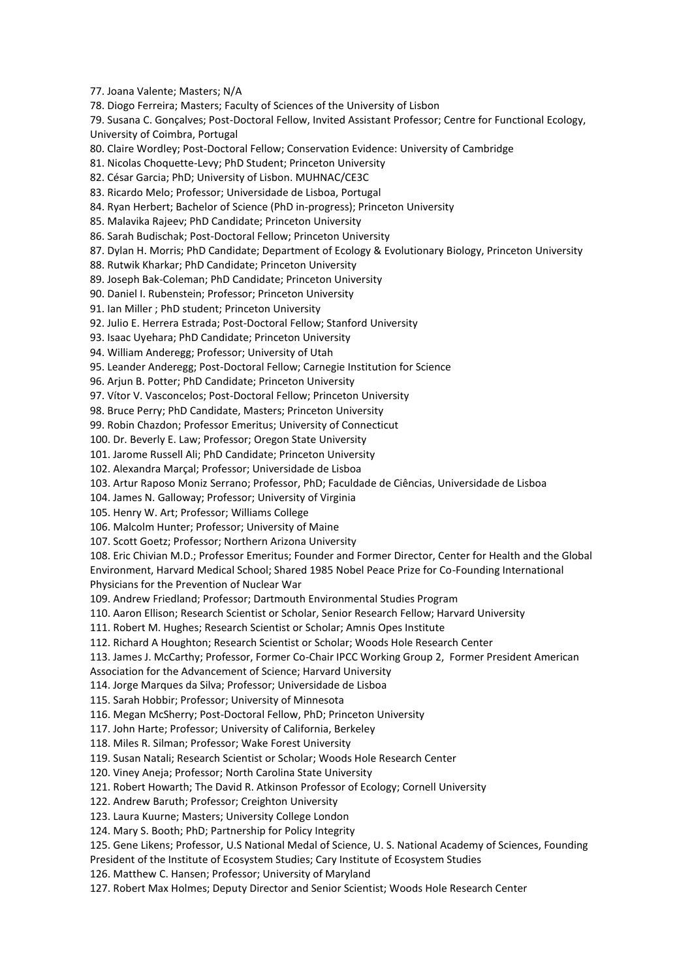77. Joana Valente; Masters; N/A

78. Diogo Ferreira; Masters; Faculty of Sciences of the University of Lisbon

79. Susana C. Gonçalves; Post-Doctoral Fellow, Invited Assistant Professor; Centre for Functional Ecology, University of Coimbra, Portugal

80. Claire Wordley; Post-Doctoral Fellow; Conservation Evidence: University of Cambridge

81. Nicolas Choquette-Levy; PhD Student; Princeton University

82. César Garcia; PhD; University of Lisbon. MUHNAC/CE3C

83. Ricardo Melo; Professor; Universidade de Lisboa, Portugal

84. Ryan Herbert; Bachelor of Science (PhD in-progress); Princeton University

85. Malavika Rajeev; PhD Candidate; Princeton University

86. Sarah Budischak; Post-Doctoral Fellow; Princeton University

87. Dylan H. Morris; PhD Candidate; Department of Ecology & Evolutionary Biology, Princeton University

88. Rutwik Kharkar; PhD Candidate; Princeton University

89. Joseph Bak-Coleman; PhD Candidate; Princeton University

90. Daniel I. Rubenstein; Professor; Princeton University

91. Ian Miller ; PhD student; Princeton University

92. Julio E. Herrera Estrada; Post-Doctoral Fellow; Stanford University

93. Isaac Uyehara; PhD Candidate; Princeton University

94. William Anderegg; Professor; University of Utah

95. Leander Anderegg; Post-Doctoral Fellow; Carnegie Institution for Science

96. Arjun B. Potter; PhD Candidate; Princeton University

97. Vítor V. Vasconcelos; Post-Doctoral Fellow; Princeton University

98. Bruce Perry; PhD Candidate, Masters; Princeton University

99. Robin Chazdon; Professor Emeritus; University of Connecticut

100. Dr. Beverly E. Law; Professor; Oregon State University

101. Jarome Russell Ali; PhD Candidate; Princeton University

102. Alexandra Marçal; Professor; Universidade de Lisboa

103. Artur Raposo Moniz Serrano; Professor, PhD; Faculdade de Ciências, Universidade de Lisboa

104. James N. Galloway; Professor; University of Virginia

105. Henry W. Art; Professor; Williams College

106. Malcolm Hunter; Professor; University of Maine

107. Scott Goetz; Professor; Northern Arizona University

108. Eric Chivian M.D.; Professor Emeritus; Founder and Former Director, Center for Health and the Global Environment, Harvard Medical School; Shared 1985 Nobel Peace Prize for Co-Founding International

Physicians for the Prevention of Nuclear War

109. Andrew Friedland; Professor; Dartmouth Environmental Studies Program

110. Aaron Ellison; Research Scientist or Scholar, Senior Research Fellow; Harvard University

111. Robert M. Hughes; Research Scientist or Scholar; Amnis Opes Institute

112. Richard A Houghton; Research Scientist or Scholar; Woods Hole Research Center

113. James J. McCarthy; Professor, Former Co-Chair IPCC Working Group 2, Former President American

Association for the Advancement of Science; Harvard University

114. Jorge Marques da Silva; Professor; Universidade de Lisboa

115. Sarah Hobbir; Professor; University of Minnesota

116. Megan McSherry; Post-Doctoral Fellow, PhD; Princeton University

117. John Harte; Professor; University of California, Berkeley

118. Miles R. Silman; Professor; Wake Forest University

119. Susan Natali; Research Scientist or Scholar; Woods Hole Research Center

120. Viney Aneja; Professor; North Carolina State University

121. Robert Howarth; The David R. Atkinson Professor of Ecology; Cornell University

122. Andrew Baruth; Professor; Creighton University

123. Laura Kuurne; Masters; University College London

124. Mary S. Booth; PhD; Partnership for Policy Integrity

125. Gene Likens; Professor, U.S National Medal of Science, U. S. National Academy of Sciences, Founding

President of the Institute of Ecosystem Studies; Cary Institute of Ecosystem Studies

126. Matthew C. Hansen; Professor; University of Maryland

127. Robert Max Holmes; Deputy Director and Senior Scientist; Woods Hole Research Center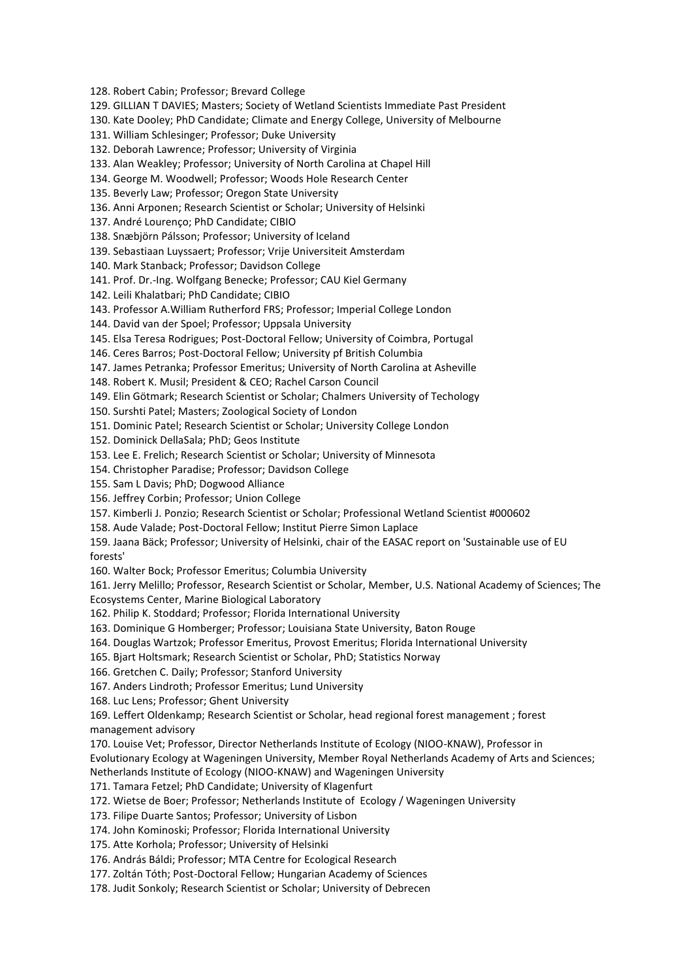128. Robert Cabin; Professor; Brevard College

129. GILLIAN T DAVIES; Masters; Society of Wetland Scientists Immediate Past President

130. Kate Dooley; PhD Candidate; Climate and Energy College, University of Melbourne

131. William Schlesinger; Professor; Duke University

132. Deborah Lawrence; Professor; University of Virginia

133. Alan Weakley; Professor; University of North Carolina at Chapel Hill

134. George M. Woodwell; Professor; Woods Hole Research Center

135. Beverly Law; Professor; Oregon State University

136. Anni Arponen; Research Scientist or Scholar; University of Helsinki

137. André Lourenço; PhD Candidate; CIBIO

138. Snæbjörn Pálsson; Professor; University of Iceland

139. Sebastiaan Luyssaert; Professor; Vrije Universiteit Amsterdam

140. Mark Stanback; Professor; Davidson College

141. Prof. Dr.-Ing. Wolfgang Benecke; Professor; CAU Kiel Germany

142. Leili Khalatbari; PhD Candidate; CIBIO

143. Professor A.William Rutherford FRS; Professor; Imperial College London

144. David van der Spoel; Professor; Uppsala University

145. Elsa Teresa Rodrigues; Post-Doctoral Fellow; University of Coimbra, Portugal

146. Ceres Barros; Post-Doctoral Fellow; University pf British Columbia

147. James Petranka; Professor Emeritus; University of North Carolina at Asheville

148. Robert K. Musil; President & CEO; Rachel Carson Council

149. Elin Götmark; Research Scientist or Scholar; Chalmers University of Techology

150. Surshti Patel; Masters; Zoological Society of London

151. Dominic Patel; Research Scientist or Scholar; University College London

152. Dominick DellaSala; PhD; Geos Institute

153. Lee E. Frelich; Research Scientist or Scholar; University of Minnesota

154. Christopher Paradise; Professor; Davidson College

155. Sam L Davis; PhD; Dogwood Alliance

156. Jeffrey Corbin; Professor; Union College

157. Kimberli J. Ponzio; Research Scientist or Scholar; Professional Wetland Scientist #000602

158. Aude Valade; Post-Doctoral Fellow; Institut Pierre Simon Laplace

159. Jaana Bäck; Professor; University of Helsinki, chair of the EASAC report on 'Sustainable use of EU forests'

160. Walter Bock; Professor Emeritus; Columbia University

161. Jerry Melillo; Professor, Research Scientist or Scholar, Member, U.S. National Academy of Sciences; The Ecosystems Center, Marine Biological Laboratory

162. Philip K. Stoddard; Professor; Florida International University

163. Dominique G Homberger; Professor; Louisiana State University, Baton Rouge

164. Douglas Wartzok; Professor Emeritus, Provost Emeritus; Florida International University

165. Bjart Holtsmark; Research Scientist or Scholar, PhD; Statistics Norway

166. Gretchen C. Daily; Professor; Stanford University

167. Anders Lindroth; Professor Emeritus; Lund University

168. Luc Lens; Professor; Ghent University

169. Leffert Oldenkamp; Research Scientist or Scholar, head regional forest management ; forest management advisory

170. Louise Vet; Professor, Director Netherlands Institute of Ecology (NIOO-KNAW), Professor in Evolutionary Ecology at Wageningen University, Member Royal Netherlands Academy of Arts and Sciences;

Netherlands Institute of Ecology (NIOO-KNAW) and Wageningen University

171. Tamara Fetzel; PhD Candidate; University of Klagenfurt

172. Wietse de Boer; Professor; Netherlands Institute of Ecology / Wageningen University

173. Filipe Duarte Santos; Professor; University of Lisbon

174. John Kominoski; Professor; Florida International University

175. Atte Korhola; Professor; University of Helsinki

176. András Báldi; Professor; MTA Centre for Ecological Research

177. Zoltán Tóth; Post-Doctoral Fellow; Hungarian Academy of Sciences

178. Judit Sonkoly; Research Scientist or Scholar; University of Debrecen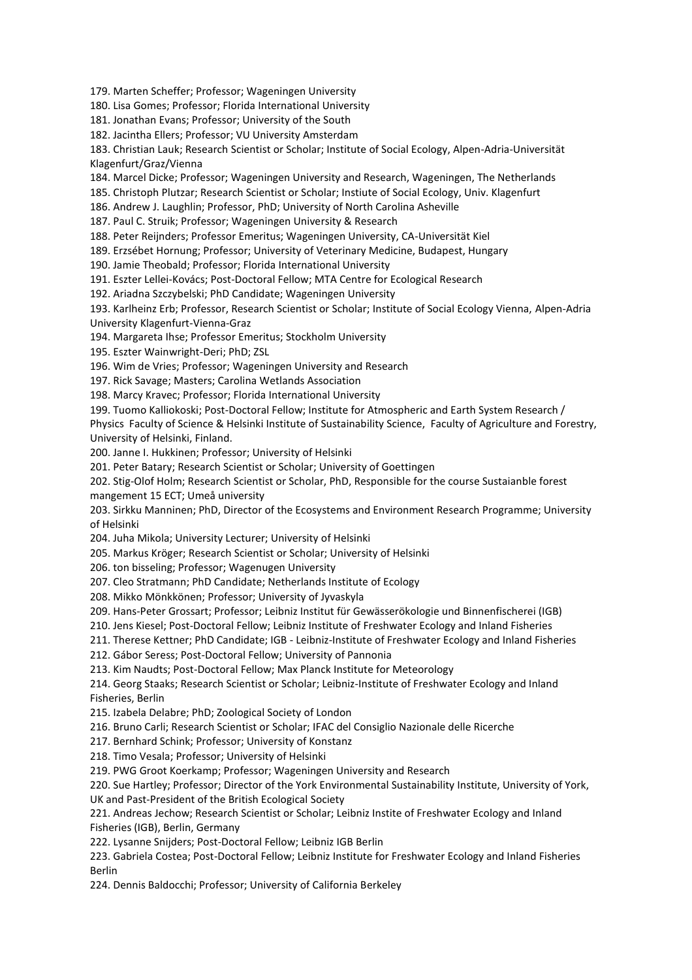179. Marten Scheffer; Professor; Wageningen University

180. Lisa Gomes; Professor; Florida International University

181. Jonathan Evans; Professor; University of the South

182. Jacintha Ellers; Professor; VU University Amsterdam

183. Christian Lauk; Research Scientist or Scholar; Institute of Social Ecology, Alpen-Adria-Universität Klagenfurt/Graz/Vienna

184. Marcel Dicke; Professor; Wageningen University and Research, Wageningen, The Netherlands

185. Christoph Plutzar; Research Scientist or Scholar; Instiute of Social Ecology, Univ. Klagenfurt

186. Andrew J. Laughlin; Professor, PhD; University of North Carolina Asheville

187. Paul C. Struik; Professor; Wageningen University & Research

188. Peter Reijnders; Professor Emeritus; Wageningen University, CA-Universität Kiel

189. Erzsébet Hornung; Professor; University of Veterinary Medicine, Budapest, Hungary

190. Jamie Theobald; Professor; Florida International University

191. Eszter Lellei-Kovács; Post-Doctoral Fellow; MTA Centre for Ecological Research

192. Ariadna Szczybelski; PhD Candidate; Wageningen University

193. Karlheinz Erb; Professor, Research Scientist or Scholar; Institute of Social Ecology Vienna, Alpen-Adria University Klagenfurt-Vienna-Graz

194. Margareta Ihse; Professor Emeritus; Stockholm University

195. Eszter Wainwright-Deri; PhD; ZSL

196. Wim de Vries; Professor; Wageningen University and Research

197. Rick Savage; Masters; Carolina Wetlands Association

198. Marcy Kravec; Professor; Florida International University

199. Tuomo Kalliokoski; Post-Doctoral Fellow; Institute for Atmospheric and Earth System Research / Physics Faculty of Science & Helsinki Institute of Sustainability Science, Faculty of Agriculture and Forestry, University of Helsinki, Finland.

200. Janne I. Hukkinen; Professor; University of Helsinki

201. Peter Batary; Research Scientist or Scholar; University of Goettingen

202. Stig-Olof Holm; Research Scientist or Scholar, PhD, Responsible for the course Sustaianble forest mangement 15 ECT; Umeå university

203. Sirkku Manninen; PhD, Director of the Ecosystems and Environment Research Programme; University of Helsinki

204. Juha Mikola; University Lecturer; University of Helsinki

205. Markus Kröger; Research Scientist or Scholar; University of Helsinki

206. ton bisseling; Professor; Wagenugen University

207. Cleo Stratmann; PhD Candidate; Netherlands Institute of Ecology

208. Mikko Mönkkönen; Professor; University of Jyvaskyla

209. Hans-Peter Grossart; Professor; Leibniz Institut für Gewässerökologie und Binnenfischerei (IGB)

210. Jens Kiesel; Post-Doctoral Fellow; Leibniz Institute of Freshwater Ecology and Inland Fisheries

211. Therese Kettner; PhD Candidate; IGB - Leibniz-Institute of Freshwater Ecology and Inland Fisheries

212. Gábor Seress; Post-Doctoral Fellow; University of Pannonia

213. Kim Naudts; Post-Doctoral Fellow; Max Planck Institute for Meteorology

214. Georg Staaks; Research Scientist or Scholar; Leibniz-Institute of Freshwater Ecology and Inland Fisheries, Berlin

215. Izabela Delabre; PhD; Zoological Society of London

216. Bruno Carli; Research Scientist or Scholar; IFAC del Consiglio Nazionale delle Ricerche

217. Bernhard Schink; Professor; University of Konstanz

218. Timo Vesala; Professor; University of Helsinki

219. PWG Groot Koerkamp; Professor; Wageningen University and Research

220. Sue Hartley; Professor; Director of the York Environmental Sustainability Institute, University of York, UK and Past-President of the British Ecological Society

221. Andreas Jechow; Research Scientist or Scholar; Leibniz Instite of Freshwater Ecology and Inland Fisheries (IGB), Berlin, Germany

222. Lysanne Snijders; Post-Doctoral Fellow; Leibniz IGB Berlin

223. Gabriela Costea; Post-Doctoral Fellow; Leibniz Institute for Freshwater Ecology and Inland Fisheries Berlin

224. Dennis Baldocchi; Professor; University of California Berkeley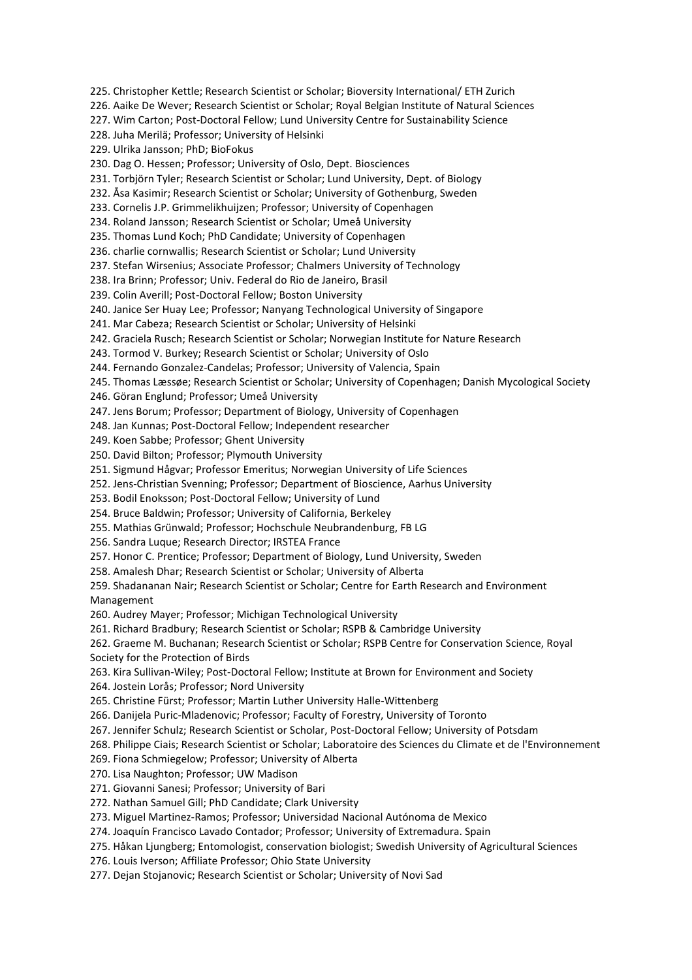225. Christopher Kettle; Research Scientist or Scholar; Bioversity International/ ETH Zurich

226. Aaike De Wever; Research Scientist or Scholar; Royal Belgian Institute of Natural Sciences

227. Wim Carton; Post-Doctoral Fellow; Lund University Centre for Sustainability Science

228. Juha Merilä; Professor; University of Helsinki

229. Ulrika Jansson; PhD; BioFokus

230. Dag O. Hessen; Professor; University of Oslo, Dept. Biosciences

231. Torbjörn Tyler; Research Scientist or Scholar; Lund University, Dept. of Biology

232. Åsa Kasimir; Research Scientist or Scholar; University of Gothenburg, Sweden

233. Cornelis J.P. Grimmelikhuijzen; Professor; University of Copenhagen

234. Roland Jansson; Research Scientist or Scholar; Umeå University

235. Thomas Lund Koch; PhD Candidate; University of Copenhagen

236. charlie cornwallis; Research Scientist or Scholar; Lund University

237. Stefan Wirsenius; Associate Professor; Chalmers University of Technology

238. Ira Brinn; Professor; Univ. Federal do Rio de Janeiro, Brasil

239. Colin Averill; Post-Doctoral Fellow; Boston University

240. Janice Ser Huay Lee; Professor; Nanyang Technological University of Singapore

241. Mar Cabeza; Research Scientist or Scholar; University of Helsinki

242. Graciela Rusch; Research Scientist or Scholar; Norwegian Institute for Nature Research

243. Tormod V. Burkey; Research Scientist or Scholar; University of Oslo

244. Fernando Gonzalez-Candelas; Professor; University of Valencia, Spain

245. Thomas Læssøe; Research Scientist or Scholar; University of Copenhagen; Danish Mycological Society

246. Göran Englund; Professor; Umeå University

247. Jens Borum; Professor; Department of Biology, University of Copenhagen

248. Jan Kunnas; Post-Doctoral Fellow; Independent researcher

249. Koen Sabbe; Professor; Ghent University

250. David Bilton; Professor; Plymouth University

251. Sigmund Hågvar; Professor Emeritus; Norwegian University of Life Sciences

252. Jens-Christian Svenning; Professor; Department of Bioscience, Aarhus University

253. Bodil Enoksson; Post-Doctoral Fellow; University of Lund

254. Bruce Baldwin; Professor; University of California, Berkeley

255. Mathias Grünwald; Professor; Hochschule Neubrandenburg, FB LG

256. Sandra Luque; Research Director; IRSTEA France

257. Honor C. Prentice; Professor; Department of Biology, Lund University, Sweden

258. Amalesh Dhar; Research Scientist or Scholar; University of Alberta

259. Shadananan Nair; Research Scientist or Scholar; Centre for Earth Research and Environment Management

260. Audrey Mayer; Professor; Michigan Technological University

261. Richard Bradbury; Research Scientist or Scholar; RSPB & Cambridge University

262. Graeme M. Buchanan; Research Scientist or Scholar; RSPB Centre for Conservation Science, Royal Society for the Protection of Birds

263. Kira Sullivan-Wiley; Post-Doctoral Fellow; Institute at Brown for Environment and Society

264. Jostein Lorås; Professor; Nord University

265. Christine Fürst; Professor; Martin Luther University Halle-Wittenberg

266. Danijela Puric-Mladenovic; Professor; Faculty of Forestry, University of Toronto

267. Jennifer Schulz; Research Scientist or Scholar, Post-Doctoral Fellow; University of Potsdam

268. Philippe Ciais; Research Scientist or Scholar; Laboratoire des Sciences du Climate et de l'Environnement

269. Fiona Schmiegelow; Professor; University of Alberta

270. Lisa Naughton; Professor; UW Madison

271. Giovanni Sanesi; Professor; University of Bari

272. Nathan Samuel Gill; PhD Candidate; Clark University

273. Miguel Martinez-Ramos; Professor; Universidad Nacional Autónoma de Mexico

274. Joaquín Francisco Lavado Contador; Professor; University of Extremadura. Spain

275. Håkan Ljungberg; Entomologist, conservation biologist; Swedish University of Agricultural Sciences

276. Louis Iverson; Affiliate Professor; Ohio State University

277. Dejan Stojanovic; Research Scientist or Scholar; University of Novi Sad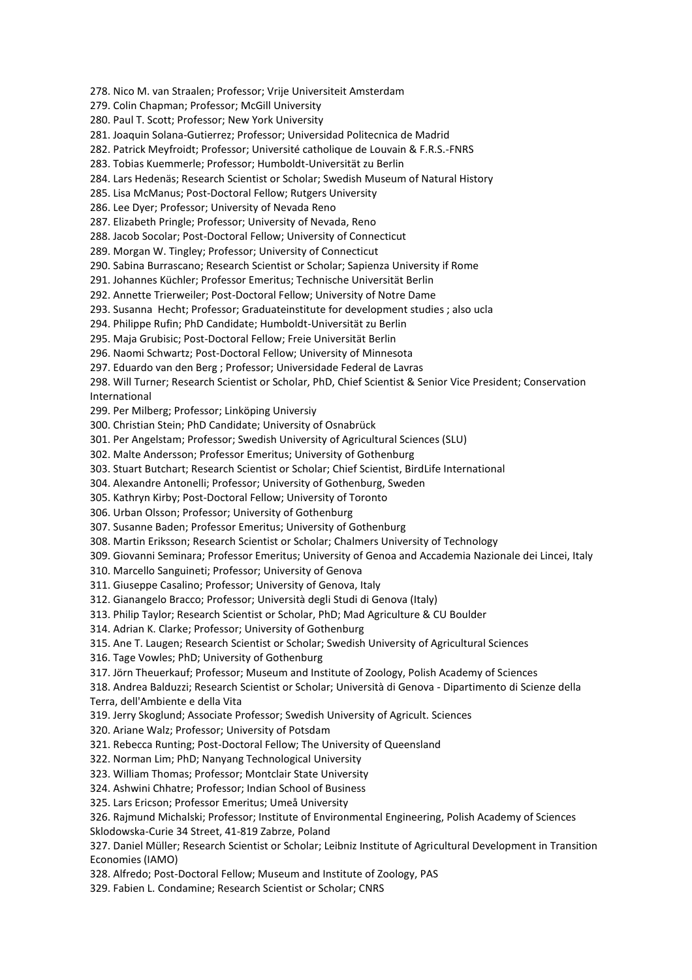278. Nico M. van Straalen; Professor; Vrije Universiteit Amsterdam

279. Colin Chapman; Professor; McGill University

280. Paul T. Scott; Professor; New York University

281. Joaquin Solana-Gutierrez; Professor; Universidad Politecnica de Madrid

282. Patrick Meyfroidt; Professor; Université catholique de Louvain & F.R.S.-FNRS

283. Tobias Kuemmerle; Professor; Humboldt-Universität zu Berlin

284. Lars Hedenäs; Research Scientist or Scholar; Swedish Museum of Natural History

285. Lisa McManus; Post-Doctoral Fellow; Rutgers University

286. Lee Dyer; Professor; University of Nevada Reno

287. Elizabeth Pringle; Professor; University of Nevada, Reno

288. Jacob Socolar; Post-Doctoral Fellow; University of Connecticut

289. Morgan W. Tingley; Professor; University of Connecticut

290. Sabina Burrascano; Research Scientist or Scholar; Sapienza University if Rome

291. Johannes Küchler; Professor Emeritus; Technische Universität Berlin

292. Annette Trierweiler; Post-Doctoral Fellow; University of Notre Dame

293. Susanna Hecht; Professor; Graduateinstitute for development studies ; also ucla

294. Philippe Rufin; PhD Candidate; Humboldt-Universität zu Berlin

295. Maja Grubisic; Post-Doctoral Fellow; Freie Universität Berlin

296. Naomi Schwartz; Post-Doctoral Fellow; University of Minnesota

297. Eduardo van den Berg ; Professor; Universidade Federal de Lavras

298. Will Turner; Research Scientist or Scholar, PhD, Chief Scientist & Senior Vice President; Conservation International

299. Per Milberg; Professor; Linköping Universiy

300. Christian Stein; PhD Candidate; University of Osnabrück

301. Per Angelstam; Professor; Swedish University of Agricultural Sciences (SLU)

302. Malte Andersson; Professor Emeritus; University of Gothenburg

303. Stuart Butchart; Research Scientist or Scholar; Chief Scientist, BirdLife International

304. Alexandre Antonelli; Professor; University of Gothenburg, Sweden

305. Kathryn Kirby; Post-Doctoral Fellow; University of Toronto

306. Urban Olsson; Professor; University of Gothenburg

307. Susanne Baden; Professor Emeritus; University of Gothenburg

308. Martin Eriksson; Research Scientist or Scholar; Chalmers University of Technology

309. Giovanni Seminara; Professor Emeritus; University of Genoa and Accademia Nazionale dei Lincei, Italy

310. Marcello Sanguineti; Professor; University of Genova

311. Giuseppe Casalino; Professor; University of Genova, Italy

312. Gianangelo Bracco; Professor; Università degli Studi di Genova (Italy)

313. Philip Taylor; Research Scientist or Scholar, PhD; Mad Agriculture & CU Boulder

314. Adrian K. Clarke; Professor; University of Gothenburg

315. Ane T. Laugen; Research Scientist or Scholar; Swedish University of Agricultural Sciences

316. Tage Vowles; PhD; University of Gothenburg

317. Jörn Theuerkauf; Professor; Museum and Institute of Zoology, Polish Academy of Sciences

318. Andrea Balduzzi; Research Scientist or Scholar; Università di Genova - Dipartimento di Scienze della Terra, dell'Ambiente e della Vita

319. Jerry Skoglund; Associate Professor; Swedish University of Agricult. Sciences

320. Ariane Walz; Professor; University of Potsdam

321. Rebecca Runting; Post-Doctoral Fellow; The University of Queensland

322. Norman Lim; PhD; Nanyang Technological University

323. William Thomas; Professor; Montclair State University

324. Ashwini Chhatre; Professor; Indian School of Business

325. Lars Ericson; Professor Emeritus; Umeå University

326. Rajmund Michalski; Professor; Institute of Environmental Engineering, Polish Academy of Sciences Sklodowska-Curie 34 Street, 41-819 Zabrze, Poland

327. Daniel Müller; Research Scientist or Scholar; Leibniz Institute of Agricultural Development in Transition Economies (IAMO)

328. Alfredo; Post-Doctoral Fellow; Museum and Institute of Zoology, PAS

329. Fabien L. Condamine; Research Scientist or Scholar; CNRS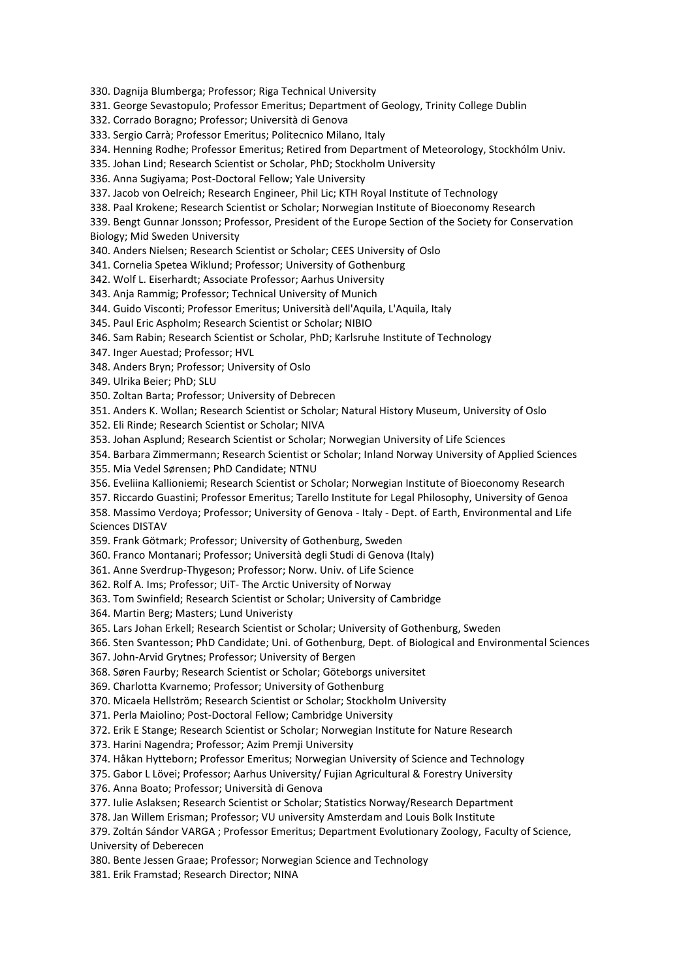330. Dagnija Blumberga; Professor; Riga Technical University

331. George Sevastopulo; Professor Emeritus; Department of Geology, Trinity College Dublin

332. Corrado Boragno; Professor; Università di Genova

333. Sergio Carrà; Professor Emeritus; Politecnico Milano, Italy

334. Henning Rodhe; Professor Emeritus; Retired from Department of Meteorology, Stockhólm Univ.

335. Johan Lind; Research Scientist or Scholar, PhD; Stockholm University

336. Anna Sugiyama; Post-Doctoral Fellow; Yale University

337. Jacob von Oelreich; Research Engineer, Phil Lic; KTH Royal Institute of Technology

338. Paal Krokene; Research Scientist or Scholar; Norwegian Institute of Bioeconomy Research

339. Bengt Gunnar Jonsson; Professor, President of the Europe Section of the Society for Conservation Biology; Mid Sweden University

340. Anders Nielsen; Research Scientist or Scholar; CEES University of Oslo

341. Cornelia Spetea Wiklund; Professor; University of Gothenburg

342. Wolf L. Eiserhardt; Associate Professor; Aarhus University

343. Anja Rammig; Professor; Technical University of Munich

344. Guido Visconti; Professor Emeritus; Università dell'Aquila, L'Aquila, Italy

345. Paul Eric Aspholm; Research Scientist or Scholar; NIBIO

346. Sam Rabin; Research Scientist or Scholar, PhD; Karlsruhe Institute of Technology

347. Inger Auestad; Professor; HVL

348. Anders Bryn; Professor; University of Oslo

349. Ulrika Beier; PhD; SLU

350. Zoltan Barta; Professor; University of Debrecen

351. Anders K. Wollan; Research Scientist or Scholar; Natural History Museum, University of Oslo

352. Eli Rinde; Research Scientist or Scholar; NIVA

353. Johan Asplund; Research Scientist or Scholar; Norwegian University of Life Sciences

354. Barbara Zimmermann; Research Scientist or Scholar; Inland Norway University of Applied Sciences

355. Mia Vedel Sørensen; PhD Candidate; NTNU

356. Eveliina Kallioniemi; Research Scientist or Scholar; Norwegian Institute of Bioeconomy Research

357. Riccardo Guastini; Professor Emeritus; Tarello Institute for Legal Philosophy, University of Genoa

358. Massimo Verdoya; Professor; University of Genova - Italy - Dept. of Earth, Environmental and Life Sciences DISTAV

359. Frank Götmark; Professor; University of Gothenburg, Sweden

360. Franco Montanari; Professor; Università degli Studi di Genova (Italy)

361. Anne Sverdrup-Thygeson; Professor; Norw. Univ. of Life Science

362. Rolf A. Ims; Professor; UiT- The Arctic University of Norway

363. Tom Swinfield; Research Scientist or Scholar; University of Cambridge

364. Martin Berg; Masters; Lund Univeristy

365. Lars Johan Erkell; Research Scientist or Scholar; University of Gothenburg, Sweden

366. Sten Svantesson; PhD Candidate; Uni. of Gothenburg, Dept. of Biological and Environmental Sciences

367. John-Arvid Grytnes; Professor; University of Bergen

368. Søren Faurby; Research Scientist or Scholar; Göteborgs universitet

369. Charlotta Kvarnemo; Professor; University of Gothenburg

370. Micaela Hellström; Research Scientist or Scholar; Stockholm University

371. Perla Maiolino; Post-Doctoral Fellow; Cambridge University

372. Erik E Stange; Research Scientist or Scholar; Norwegian Institute for Nature Research

373. Harini Nagendra; Professor; Azim Premji University

374. Håkan Hytteborn; Professor Emeritus; Norwegian University of Science and Technology

375. Gabor L Lövei; Professor; Aarhus University/ Fujian Agricultural & Forestry University

376. Anna Boato; Professor; Università di Genova

377. Iulie Aslaksen; Research Scientist or Scholar; Statistics Norway/Research Department

378. Jan Willem Erisman; Professor; VU university Amsterdam and Louis Bolk Institute

379. Zoltán Sándor VARGA ; Professor Emeritus; Department Evolutionary Zoology, Faculty of Science, University of Deberecen

380. Bente Jessen Graae; Professor; Norwegian Science and Technology

381. Erik Framstad; Research Director; NINA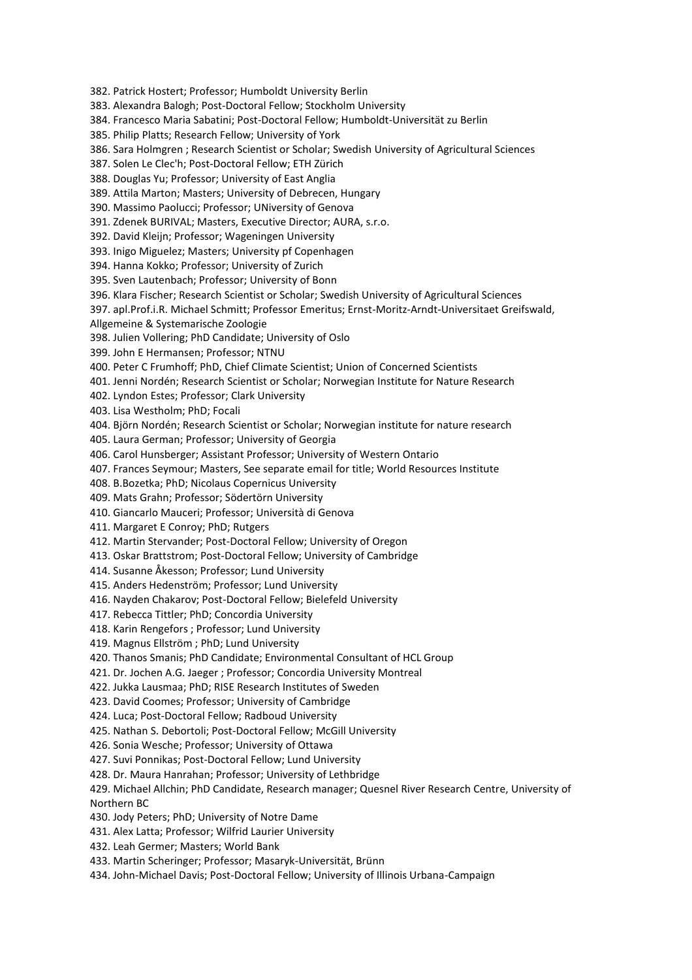382. Patrick Hostert; Professor; Humboldt University Berlin

383. Alexandra Balogh; Post-Doctoral Fellow; Stockholm University

384. Francesco Maria Sabatini; Post-Doctoral Fellow; Humboldt-Universität zu Berlin

385. Philip Platts; Research Fellow; University of York

386. Sara Holmgren ; Research Scientist or Scholar; Swedish University of Agricultural Sciences

387. Solen Le Clec'h; Post-Doctoral Fellow; ETH Zürich

388. Douglas Yu; Professor; University of East Anglia

389. Attila Marton; Masters; University of Debrecen, Hungary

390. Massimo Paolucci; Professor; UNiversity of Genova

391. Zdenek BURIVAL; Masters, Executive Director; AURA, s.r.o.

392. David Kleijn; Professor; Wageningen University

393. Inigo Miguelez; Masters; University pf Copenhagen

394. Hanna Kokko; Professor; University of Zurich

395. Sven Lautenbach; Professor; University of Bonn

396. Klara Fischer; Research Scientist or Scholar; Swedish University of Agricultural Sciences

397. apl.Prof.i.R. Michael Schmitt; Professor Emeritus; Ernst-Moritz-Arndt-Universitaet Greifswald,

Allgemeine & Systemarische Zoologie

398. Julien Vollering; PhD Candidate; University of Oslo

399. John E Hermansen; Professor; NTNU

400. Peter C Frumhoff; PhD, Chief Climate Scientist; Union of Concerned Scientists

401. Jenni Nordén; Research Scientist or Scholar; Norwegian Institute for Nature Research

402. Lyndon Estes; Professor; Clark University

403. Lisa Westholm; PhD; Focali

404. Björn Nordén; Research Scientist or Scholar; Norwegian institute for nature research

405. Laura German; Professor; University of Georgia

406. Carol Hunsberger; Assistant Professor; University of Western Ontario

407. Frances Seymour; Masters, See separate email for title; World Resources Institute

408. B.Bozetka; PhD; Nicolaus Copernicus University

409. Mats Grahn; Professor; Södertörn University

410. Giancarlo Mauceri; Professor; Università di Genova

411. Margaret E Conroy; PhD; Rutgers

412. Martin Stervander; Post-Doctoral Fellow; University of Oregon

413. Oskar Brattstrom; Post-Doctoral Fellow; University of Cambridge

414. Susanne Åkesson; Professor; Lund University

415. Anders Hedenström; Professor; Lund University

416. Nayden Chakarov; Post-Doctoral Fellow; Bielefeld University

417. Rebecca Tittler; PhD; Concordia University

418. Karin Rengefors ; Professor; Lund University

419. Magnus Ellström ; PhD; Lund University

420. Thanos Smanis; PhD Candidate; Environmental Consultant of HCL Group

421. Dr. Jochen A.G. Jaeger ; Professor; Concordia University Montreal

422. Jukka Lausmaa; PhD; RISE Research Institutes of Sweden

423. David Coomes; Professor; University of Cambridge

424. Luca; Post-Doctoral Fellow; Radboud University

425. Nathan S. Debortoli; Post-Doctoral Fellow; McGill University

426. Sonia Wesche; Professor; University of Ottawa

427. Suvi Ponnikas; Post-Doctoral Fellow; Lund University

428. Dr. Maura Hanrahan; Professor; University of Lethbridge

429. Michael Allchin; PhD Candidate, Research manager; Quesnel River Research Centre, University of Northern BC

430. Jody Peters; PhD; University of Notre Dame

431. Alex Latta; Professor; Wilfrid Laurier University

432. Leah Germer; Masters; World Bank

433. Martin Scheringer; Professor; Masaryk-Universität, Brünn

434. John-Michael Davis; Post-Doctoral Fellow; University of Illinois Urbana-Campaign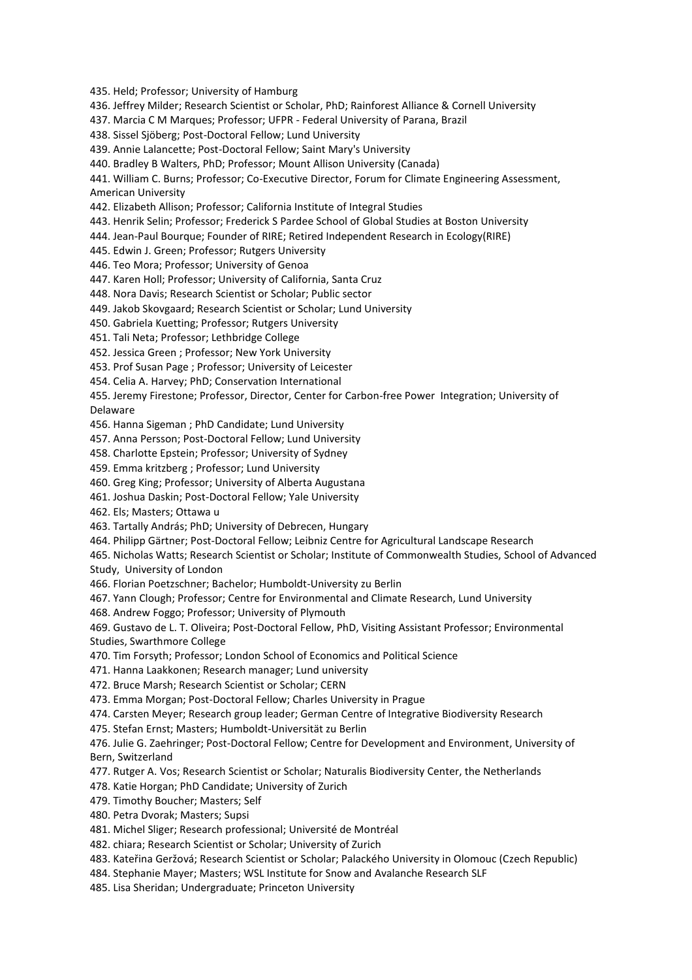435. Held; Professor; University of Hamburg

436. Jeffrey Milder; Research Scientist or Scholar, PhD; Rainforest Alliance & Cornell University

437. Marcia C M Marques; Professor; UFPR - Federal University of Parana, Brazil

438. Sissel Sjöberg; Post-Doctoral Fellow; Lund University

439. Annie Lalancette; Post-Doctoral Fellow; Saint Mary's University

440. Bradley B Walters, PhD; Professor; Mount Allison University (Canada)

441. William C. Burns; Professor; Co-Executive Director, Forum for Climate Engineering Assessment, American University

442. Elizabeth Allison; Professor; California Institute of Integral Studies

443. Henrik Selin; Professor; Frederick S Pardee School of Global Studies at Boston University

444. Jean-Paul Bourque; Founder of RIRE; Retired Independent Research in Ecology(RIRE)

445. Edwin J. Green; Professor; Rutgers University

446. Teo Mora; Professor; University of Genoa

447. Karen Holl; Professor; University of California, Santa Cruz

448. Nora Davis; Research Scientist or Scholar; Public sector

449. Jakob Skovgaard; Research Scientist or Scholar; Lund University

450. Gabriela Kuetting; Professor; Rutgers University

451. Tali Neta; Professor; Lethbridge College

452. Jessica Green ; Professor; New York University

453. Prof Susan Page ; Professor; University of Leicester

454. Celia A. Harvey; PhD; Conservation International

455. Jeremy Firestone; Professor, Director, Center for Carbon-free Power Integration; University of Delaware

456. Hanna Sigeman ; PhD Candidate; Lund University

457. Anna Persson; Post-Doctoral Fellow; Lund University

458. Charlotte Epstein; Professor; University of Sydney

459. Emma kritzberg ; Professor; Lund University

460. Greg King; Professor; University of Alberta Augustana

461. Joshua Daskin; Post-Doctoral Fellow; Yale University

462. Els; Masters; Ottawa u

463. Tartally András; PhD; University of Debrecen, Hungary

464. Philipp Gärtner; Post-Doctoral Fellow; Leibniz Centre for Agricultural Landscape Research

465. Nicholas Watts; Research Scientist or Scholar; Institute of Commonwealth Studies, School of Advanced Study, University of London

466. Florian Poetzschner; Bachelor; Humboldt-University zu Berlin

467. Yann Clough; Professor; Centre for Environmental and Climate Research, Lund University

468. Andrew Foggo; Professor; University of Plymouth

469. Gustavo de L. T. Oliveira; Post-Doctoral Fellow, PhD, Visiting Assistant Professor; Environmental Studies, Swarthmore College

470. Tim Forsyth; Professor; London School of Economics and Political Science

471. Hanna Laakkonen; Research manager; Lund university

472. Bruce Marsh; Research Scientist or Scholar; CERN

473. Emma Morgan; Post-Doctoral Fellow; Charles University in Prague

474. Carsten Meyer; Research group leader; German Centre of Integrative Biodiversity Research

475. Stefan Ernst; Masters; Humboldt-Universität zu Berlin

476. Julie G. Zaehringer; Post-Doctoral Fellow; Centre for Development and Environment, University of Bern, Switzerland

477. Rutger A. Vos; Research Scientist or Scholar; Naturalis Biodiversity Center, the Netherlands

478. Katie Horgan; PhD Candidate; University of Zurich

479. Timothy Boucher; Masters; Self

480. Petra Dvorak; Masters; Supsi

481. Michel Sliger; Research professional; Université de Montréal

482. chiara; Research Scientist or Scholar; University of Zurich

483. Kateřina Geržová; Research Scientist or Scholar; Palackého University in Olomouc (Czech Republic)

484. Stephanie Mayer; Masters; WSL Institute for Snow and Avalanche Research SLF

485. Lisa Sheridan; Undergraduate; Princeton University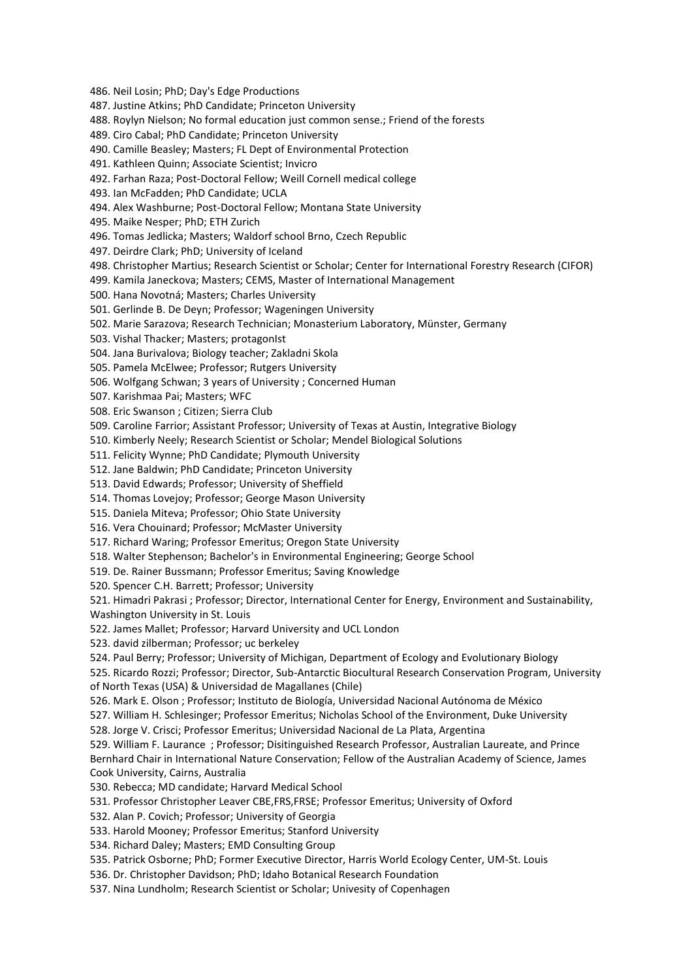486. Neil Losin; PhD; Day's Edge Productions

487. Justine Atkins; PhD Candidate; Princeton University

488. Roylyn Nielson; No formal education just common sense.; Friend of the forests

489. Ciro Cabal; PhD Candidate; Princeton University

490. Camille Beasley; Masters; FL Dept of Environmental Protection

491. Kathleen Quinn; Associate Scientist; Invicro

492. Farhan Raza; Post-Doctoral Fellow; Weill Cornell medical college

493. Ian McFadden; PhD Candidate; UCLA

494. Alex Washburne; Post-Doctoral Fellow; Montana State University

495. Maike Nesper; PhD; ETH Zurich

496. Tomas Jedlicka; Masters; Waldorf school Brno, Czech Republic

497. Deirdre Clark; PhD; University of Iceland

498. Christopher Martius; Research Scientist or Scholar; Center for International Forestry Research (CIFOR)

499. Kamila Janeckova; Masters; CEMS, Master of International Management

500. Hana Novotná; Masters; Charles University

501. Gerlinde B. De Deyn; Professor; Wageningen University

502. Marie Sarazova; Research Technician; Monasterium Laboratory, Münster, Germany

503. Vishal Thacker; Masters; protagonIst

504. Jana Burivalova; Biology teacher; Zakladni Skola

505. Pamela McElwee; Professor; Rutgers University

506. Wolfgang Schwan; 3 years of University ; Concerned Human

507. Karishmaa Pai; Masters; WFC

508. Eric Swanson ; Citizen; Sierra Club

509. Caroline Farrior; Assistant Professor; University of Texas at Austin, Integrative Biology

510. Kimberly Neely; Research Scientist or Scholar; Mendel Biological Solutions

511. Felicity Wynne; PhD Candidate; Plymouth University

512. Jane Baldwin; PhD Candidate; Princeton University

513. David Edwards; Professor; University of Sheffield

514. Thomas Lovejoy; Professor; George Mason University

515. Daniela Miteva; Professor; Ohio State University

516. Vera Chouinard; Professor; McMaster University

517. Richard Waring; Professor Emeritus; Oregon State University

518. Walter Stephenson; Bachelor's in Environmental Engineering; George School

519. De. Rainer Bussmann; Professor Emeritus; Saving Knowledge

520. Spencer C.H. Barrett; Professor; University

521. Himadri Pakrasi ; Professor; Director, International Center for Energy, Environment and Sustainability, Washington University in St. Louis

522. James Mallet; Professor; Harvard University and UCL London

523. david zilberman; Professor; uc berkeley

524. Paul Berry; Professor; University of Michigan, Department of Ecology and Evolutionary Biology

525. Ricardo Rozzi; Professor; Director, Sub-Antarctic Biocultural Research Conservation Program, University of North Texas (USA) & Universidad de Magallanes (Chile)

526. Mark E. Olson ; Professor; Instituto de Biología, Universidad Nacional Autónoma de México

527. William H. Schlesinger; Professor Emeritus; Nicholas School of the Environment, Duke University

528. Jorge V. Crisci; Professor Emeritus; Universidad Nacional de La Plata, Argentina

529. William F. Laurance ; Professor; Disitinguished Research Professor, Australian Laureate, and Prince Bernhard Chair in International Nature Conservation; Fellow of the Australian Academy of Science, James Cook University, Cairns, Australia

530. Rebecca; MD candidate; Harvard Medical School

531. Professor Christopher Leaver CBE,FRS,FRSE; Professor Emeritus; University of Oxford

532. Alan P. Covich; Professor; University of Georgia

533. Harold Mooney; Professor Emeritus; Stanford University

534. Richard Daley; Masters; EMD Consulting Group

535. Patrick Osborne; PhD; Former Executive Director, Harris World Ecology Center, UM-St. Louis

536. Dr. Christopher Davidson; PhD; Idaho Botanical Research Foundation

537. Nina Lundholm; Research Scientist or Scholar; Univesity of Copenhagen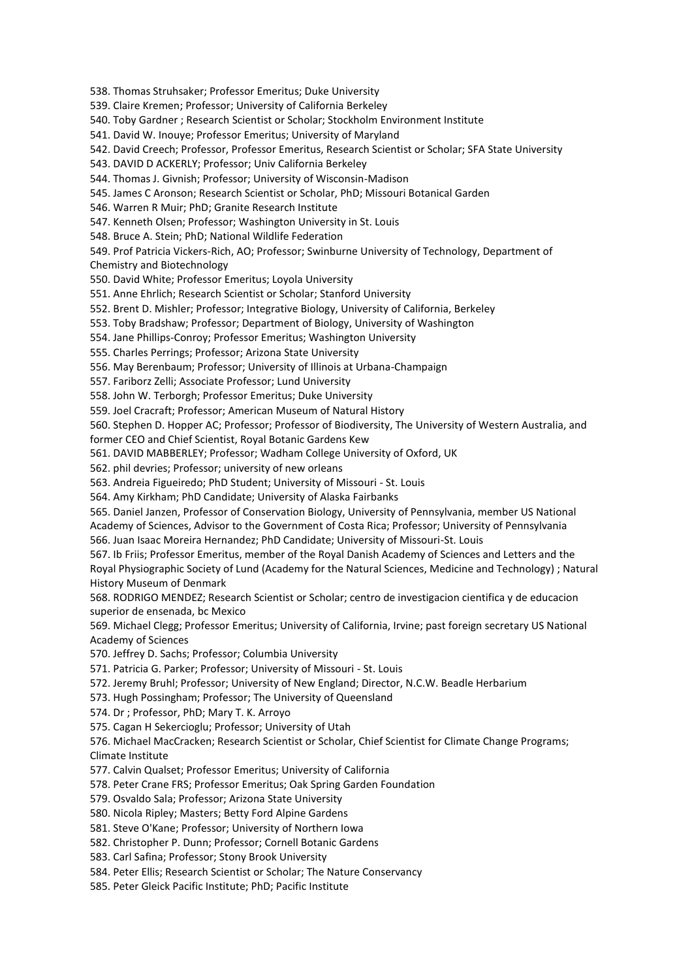538. Thomas Struhsaker; Professor Emeritus; Duke University

539. Claire Kremen; Professor; University of California Berkeley

540. Toby Gardner ; Research Scientist or Scholar; Stockholm Environment Institute

541. David W. Inouye; Professor Emeritus; University of Maryland

542. David Creech; Professor, Professor Emeritus, Research Scientist or Scholar; SFA State University

543. DAVID D ACKERLY; Professor; Univ California Berkeley

544. Thomas J. Givnish; Professor; University of Wisconsin-Madison

545. James C Aronson; Research Scientist or Scholar, PhD; Missouri Botanical Garden

546. Warren R Muir; PhD; Granite Research Institute

547. Kenneth Olsen; Professor; Washington University in St. Louis

548. Bruce A. Stein; PhD; National Wildlife Federation

549. Prof Patricia Vickers-Rich, AO; Professor; Swinburne University of Technology, Department of Chemistry and Biotechnology

550. David White; Professor Emeritus; Loyola University

551. Anne Ehrlich; Research Scientist or Scholar; Stanford University

552. Brent D. Mishler; Professor; Integrative Biology, University of California, Berkeley

553. Toby Bradshaw; Professor; Department of Biology, University of Washington

554. Jane Phillips-Conroy; Professor Emeritus; Washington University

555. Charles Perrings; Professor; Arizona State University

556. May Berenbaum; Professor; University of Illinois at Urbana-Champaign

557. Fariborz Zelli; Associate Professor; Lund University

558. John W. Terborgh; Professor Emeritus; Duke University

559. Joel Cracraft; Professor; American Museum of Natural History

560. Stephen D. Hopper AC; Professor; Professor of Biodiversity, The University of Western Australia, and former CEO and Chief Scientist, Royal Botanic Gardens Kew

561. DAVID MABBERLEY; Professor; Wadham College University of Oxford, UK

562. phil devries; Professor; university of new orleans

563. Andreia Figueiredo; PhD Student; University of Missouri - St. Louis

564. Amy Kirkham; PhD Candidate; University of Alaska Fairbanks

565. Daniel Janzen, Professor of Conservation Biology, University of Pennsylvania, member US National Academy of Sciences, Advisor to the Government of Costa Rica; Professor; University of Pennsylvania 566. Juan Isaac Moreira Hernandez; PhD Candidate; University of Missouri-St. Louis

567. Ib Friis; Professor Emeritus, member of the Royal Danish Academy of Sciences and Letters and the Royal Physiographic Society of Lund (Academy for the Natural Sciences, Medicine and Technology) ; Natural History Museum of Denmark

568. RODRIGO MENDEZ; Research Scientist or Scholar; centro de investigacion cientifica y de educacion superior de ensenada, bc Mexico

569. Michael Clegg; Professor Emeritus; University of California, Irvine; past foreign secretary US National Academy of Sciences

570. Jeffrey D. Sachs; Professor; Columbia University

571. Patricia G. Parker; Professor; University of Missouri - St. Louis

572. Jeremy Bruhl; Professor; University of New England; Director, N.C.W. Beadle Herbarium

573. Hugh Possingham; Professor; The University of Queensland

574. Dr ; Professor, PhD; Mary T. K. Arroyo

575. Cagan H Sekercioglu; Professor; University of Utah

576. Michael MacCracken; Research Scientist or Scholar, Chief Scientist for Climate Change Programs; Climate Institute

577. Calvin Qualset; Professor Emeritus; University of California

578. Peter Crane FRS; Professor Emeritus; Oak Spring Garden Foundation

579. Osvaldo Sala; Professor; Arizona State University

580. Nicola Ripley; Masters; Betty Ford Alpine Gardens

581. Steve O'Kane; Professor; University of Northern Iowa

582. Christopher P. Dunn; Professor; Cornell Botanic Gardens

583. Carl Safina; Professor; Stony Brook University

584. Peter Ellis; Research Scientist or Scholar; The Nature Conservancy

585. Peter Gleick Pacific Institute; PhD; Pacific Institute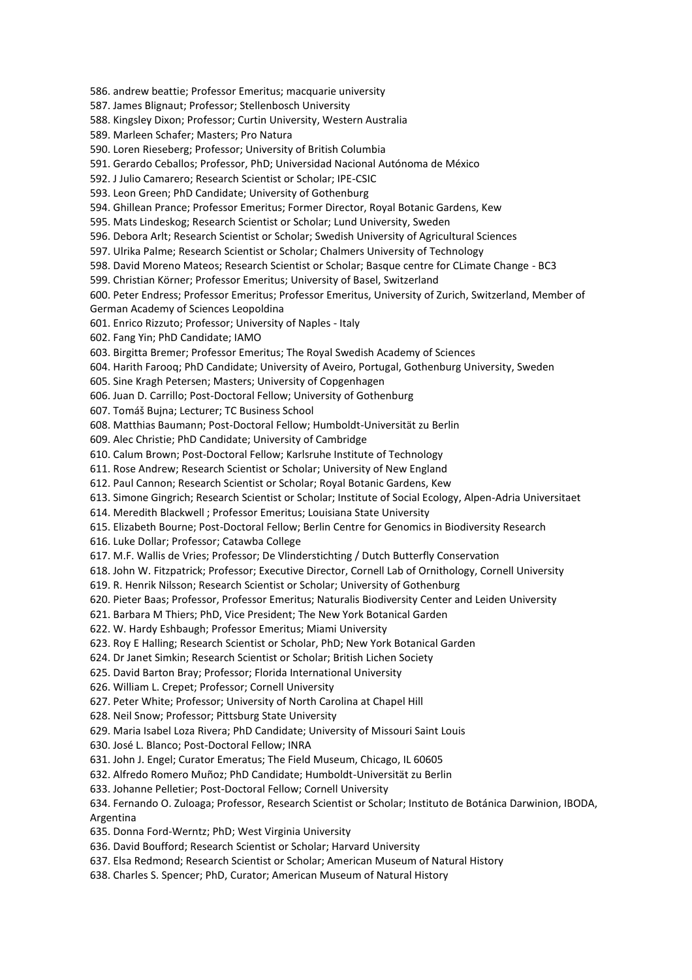587. James Blignaut; Professor; Stellenbosch University 588. Kingsley Dixon; Professor; Curtin University, Western Australia 589. Marleen Schafer; Masters; Pro Natura 590. Loren Rieseberg; Professor; University of British Columbia 591. Gerardo Ceballos; Professor, PhD; Universidad Nacional Autónoma de México 592. J Julio Camarero; Research Scientist or Scholar; IPE-CSIC 593. Leon Green; PhD Candidate; University of Gothenburg 594. Ghillean Prance; Professor Emeritus; Former Director, Royal Botanic Gardens, Kew 595. Mats Lindeskog; Research Scientist or Scholar; Lund University, Sweden 596. Debora Arlt; Research Scientist or Scholar; Swedish University of Agricultural Sciences 597. Ulrika Palme; Research Scientist or Scholar; Chalmers University of Technology 598. David Moreno Mateos; Research Scientist or Scholar; Basque centre for CLimate Change - BC3 599. Christian Körner; Professor Emeritus; University of Basel, Switzerland 600. Peter Endress; Professor Emeritus; Professor Emeritus, University of Zurich, Switzerland, Member of German Academy of Sciences Leopoldina 601. Enrico Rizzuto; Professor; University of Naples - Italy 602. Fang Yin; PhD Candidate; IAMO 603. Birgitta Bremer; Professor Emeritus; The Royal Swedish Academy of Sciences 604. Harith Farooq; PhD Candidate; University of Aveiro, Portugal, Gothenburg University, Sweden 605. Sine Kragh Petersen; Masters; University of Copgenhagen 606. Juan D. Carrillo; Post-Doctoral Fellow; University of Gothenburg 607. Tomáš Bujna; Lecturer; TC Business School 608. Matthias Baumann; Post-Doctoral Fellow; Humboldt-Universität zu Berlin 609. Alec Christie; PhD Candidate; University of Cambridge 610. Calum Brown; Post-Doctoral Fellow; Karlsruhe Institute of Technology 611. Rose Andrew; Research Scientist or Scholar; University of New England 612. Paul Cannon; Research Scientist or Scholar; Royal Botanic Gardens, Kew 613. Simone Gingrich; Research Scientist or Scholar; Institute of Social Ecology, Alpen-Adria Universitaet 614. Meredith Blackwell ; Professor Emeritus; Louisiana State University 615. Elizabeth Bourne; Post-Doctoral Fellow; Berlin Centre for Genomics in Biodiversity Research 616. Luke Dollar; Professor; Catawba College 617. M.F. Wallis de Vries; Professor; De Vlinderstichting / Dutch Butterfly Conservation 618. John W. Fitzpatrick; Professor; Executive Director, Cornell Lab of Ornithology, Cornell University 619. R. Henrik Nilsson; Research Scientist or Scholar; University of Gothenburg 620. Pieter Baas; Professor, Professor Emeritus; Naturalis Biodiversity Center and Leiden University 621. Barbara M Thiers; PhD, Vice President; The New York Botanical Garden 622. W. Hardy Eshbaugh; Professor Emeritus; Miami University 623. Roy E Halling; Research Scientist or Scholar, PhD; New York Botanical Garden 624. Dr Janet Simkin; Research Scientist or Scholar; British Lichen Society 625. David Barton Bray; Professor; Florida International University 626. William L. Crepet; Professor; Cornell University 627. Peter White; Professor; University of North Carolina at Chapel Hill 628. Neil Snow; Professor; Pittsburg State University 629. Maria Isabel Loza Rivera; PhD Candidate; University of Missouri Saint Louis 630. José L. Blanco; Post-Doctoral Fellow; INRA 631. John J. Engel; Curator Emeratus; The Field Museum, Chicago, IL 60605 632. Alfredo Romero Muñoz; PhD Candidate; Humboldt-Universität zu Berlin 633. Johanne Pelletier; Post-Doctoral Fellow; Cornell University 634. Fernando O. Zuloaga; Professor, Research Scientist or Scholar; Instituto de Botánica Darwinion, IBODA, Argentina 635. Donna Ford-Werntz; PhD; West Virginia University 636. David Boufford; Research Scientist or Scholar; Harvard University 637. Elsa Redmond; Research Scientist or Scholar; American Museum of Natural History

586. andrew beattie; Professor Emeritus; macquarie university

638. Charles S. Spencer; PhD, Curator; American Museum of Natural History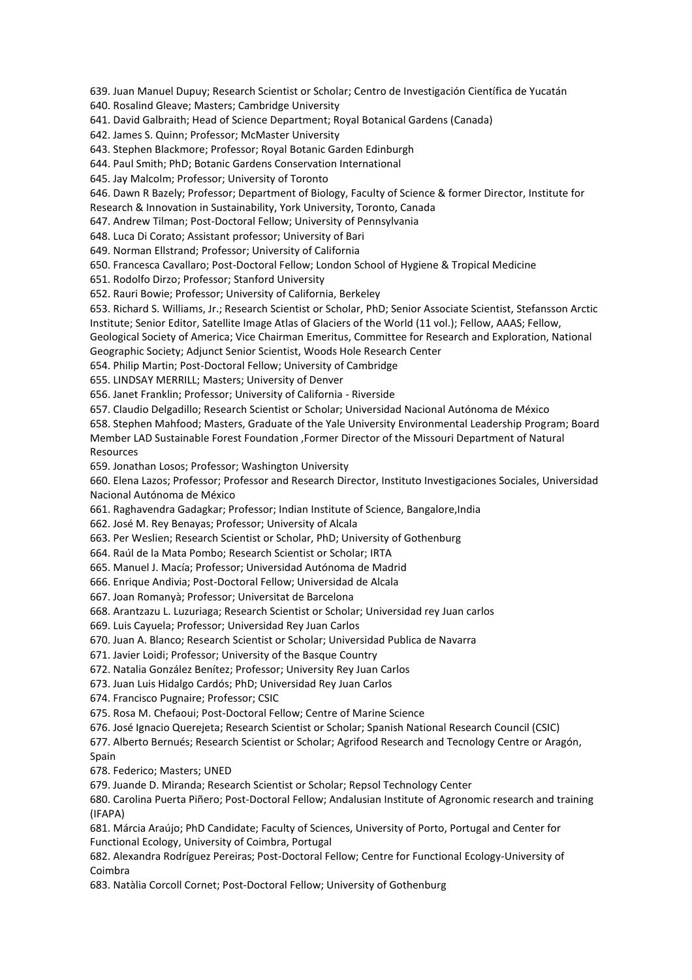639. Juan Manuel Dupuy; Research Scientist or Scholar; Centro de Investigación Científica de Yucatán

640. Rosalind Gleave; Masters; Cambridge University

641. David Galbraith; Head of Science Department; Royal Botanical Gardens (Canada)

642. James S. Quinn; Professor; McMaster University

643. Stephen Blackmore; Professor; Royal Botanic Garden Edinburgh

644. Paul Smith; PhD; Botanic Gardens Conservation International

645. Jay Malcolm; Professor; University of Toronto

646. Dawn R Bazely; Professor; Department of Biology, Faculty of Science & former Director, Institute for

Research & Innovation in Sustainability, York University, Toronto, Canada

647. Andrew Tilman; Post-Doctoral Fellow; University of Pennsylvania

648. Luca Di Corato; Assistant professor; University of Bari

649. Norman Ellstrand; Professor; University of California

650. Francesca Cavallaro; Post-Doctoral Fellow; London School of Hygiene & Tropical Medicine

651. Rodolfo Dirzo; Professor; Stanford University

652. Rauri Bowie; Professor; University of California, Berkeley

653. Richard S. Williams, Jr.; Research Scientist or Scholar, PhD; Senior Associate Scientist, Stefansson Arctic Institute; Senior Editor, Satellite Image Atlas of Glaciers of the World (11 vol.); Fellow, AAAS; Fellow,

Geological Society of America; Vice Chairman Emeritus, Committee for Research and Exploration, National Geographic Society; Adjunct Senior Scientist, Woods Hole Research Center

654. Philip Martin; Post-Doctoral Fellow; University of Cambridge

655. LINDSAY MERRILL; Masters; University of Denver

656. Janet Franklin; Professor; University of California - Riverside

657. Claudio Delgadillo; Research Scientist or Scholar; Universidad Nacional Autónoma de México

658. Stephen Mahfood; Masters, Graduate of the Yale University Environmental Leadership Program; Board Member LAD Sustainable Forest Foundation ,Former Director of the Missouri Department of Natural Resources

659. Jonathan Losos; Professor; Washington University

660. Elena Lazos; Professor; Professor and Research Director, Instituto Investigaciones Sociales, Universidad Nacional Autónoma de México

661. Raghavendra Gadagkar; Professor; Indian Institute of Science, Bangalore,India

662. José M. Rey Benayas; Professor; University of Alcala

663. Per Weslien; Research Scientist or Scholar, PhD; University of Gothenburg

664. Raúl de la Mata Pombo; Research Scientist or Scholar; IRTA

665. Manuel J. Macía; Professor; Universidad Autónoma de Madrid

666. Enrique Andivia; Post-Doctoral Fellow; Universidad de Alcala

667. Joan Romanyà; Professor; Universitat de Barcelona

668. Arantzazu L. Luzuriaga; Research Scientist or Scholar; Universidad rey Juan carlos

669. Luis Cayuela; Professor; Universidad Rey Juan Carlos

670. Juan A. Blanco; Research Scientist or Scholar; Universidad Publica de Navarra

671. Javier Loidi; Professor; University of the Basque Country

672. Natalia González Benítez; Professor; University Rey Juan Carlos

673. Juan Luis Hidalgo Cardós; PhD; Universidad Rey Juan Carlos

674. Francisco Pugnaire; Professor; CSIC

675. Rosa M. Chefaoui; Post-Doctoral Fellow; Centre of Marine Science

676. José Ignacio Querejeta; Research Scientist or Scholar; Spanish National Research Council (CSIC)

677. Alberto Bernués; Research Scientist or Scholar; Agrifood Research and Tecnology Centre or Aragón, Spain

678. Federico; Masters; UNED

679. Juande D. Miranda; Research Scientist or Scholar; Repsol Technology Center

680. Carolina Puerta Piñero; Post-Doctoral Fellow; Andalusian Institute of Agronomic research and training (IFAPA)

681. Márcia Araújo; PhD Candidate; Faculty of Sciences, University of Porto, Portugal and Center for Functional Ecology, University of Coimbra, Portugal

682. Alexandra Rodríguez Pereiras; Post-Doctoral Fellow; Centre for Functional Ecology-University of Coimbra

683. Natàlia Corcoll Cornet; Post-Doctoral Fellow; University of Gothenburg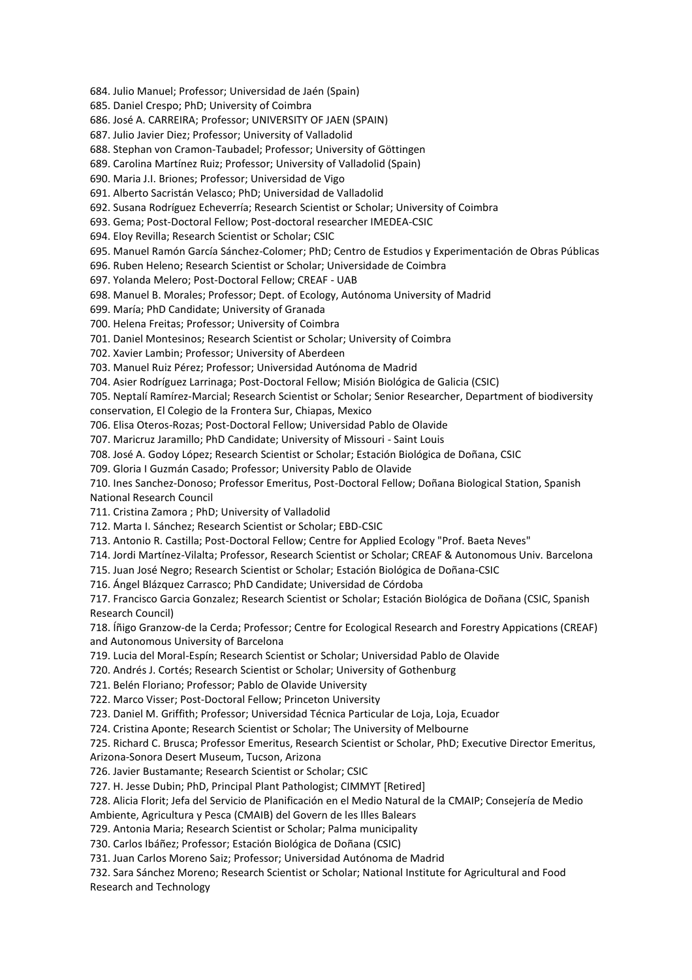684. Julio Manuel; Professor; Universidad de Jaén (Spain)

685. Daniel Crespo; PhD; University of Coimbra

686. José A. CARREIRA; Professor; UNIVERSITY OF JAEN (SPAIN)

687. Julio Javier Diez; Professor; University of Valladolid

688. Stephan von Cramon-Taubadel; Professor; University of Göttingen

689. Carolina Martínez Ruiz; Professor; University of Valladolid (Spain)

690. Maria J.I. Briones; Professor; Universidad de Vigo

691. Alberto Sacristán Velasco; PhD; Universidad de Valladolid

692. Susana Rodríguez Echeverría; Research Scientist or Scholar; University of Coimbra

693. Gema; Post-Doctoral Fellow; Post-doctoral researcher IMEDEA-CSIC

694. Eloy Revilla; Research Scientist or Scholar; CSIC

695. Manuel Ramón García Sánchez-Colomer; PhD; Centro de Estudios y Experimentación de Obras Públicas

696. Ruben Heleno; Research Scientist or Scholar; Universidade de Coimbra

697. Yolanda Melero; Post-Doctoral Fellow; CREAF - UAB

698. Manuel B. Morales; Professor; Dept. of Ecology, Autónoma University of Madrid

699. María; PhD Candidate; University of Granada

700. Helena Freitas; Professor; University of Coimbra

701. Daniel Montesinos; Research Scientist or Scholar; University of Coimbra

702. Xavier Lambin; Professor; University of Aberdeen

703. Manuel Ruiz Pérez; Professor; Universidad Autónoma de Madrid

704. Asier Rodríguez Larrinaga; Post-Doctoral Fellow; Misión Biológica de Galicia (CSIC)

705. Neptalí Ramírez-Marcial; Research Scientist or Scholar; Senior Researcher, Department of biodiversity conservation, El Colegio de la Frontera Sur, Chiapas, Mexico

706. Elisa Oteros-Rozas; Post-Doctoral Fellow; Universidad Pablo de Olavide

707. Maricruz Jaramillo; PhD Candidate; University of Missouri - Saint Louis

708. José A. Godoy López; Research Scientist or Scholar; Estación Biológica de Doñana, CSIC

709. Gloria I Guzmán Casado; Professor; University Pablo de Olavide

710. Ines Sanchez-Donoso; Professor Emeritus, Post-Doctoral Fellow; Doñana Biological Station, Spanish National Research Council

711. Cristina Zamora ; PhD; University of Valladolid

712. Marta I. Sánchez; Research Scientist or Scholar; EBD-CSIC

713. Antonio R. Castilla; Post-Doctoral Fellow; Centre for Applied Ecology "Prof. Baeta Neves"

714. Jordi Martínez-Vilalta; Professor, Research Scientist or Scholar; CREAF & Autonomous Univ. Barcelona

715. Juan José Negro; Research Scientist or Scholar; Estación Biológica de Doñana-CSIC

716. Ángel Blázquez Carrasco; PhD Candidate; Universidad de Córdoba

717. Francisco Garcia Gonzalez; Research Scientist or Scholar; Estación Biológica de Doñana (CSIC, Spanish Research Council)

718. Íñigo Granzow-de la Cerda; Professor; Centre for Ecological Research and Forestry Appications (CREAF) and Autonomous University of Barcelona

719. Lucia del Moral-Espín; Research Scientist or Scholar; Universidad Pablo de Olavide

720. Andrés J. Cortés; Research Scientist or Scholar; University of Gothenburg

721. Belén Floriano; Professor; Pablo de Olavide University

722. Marco Visser; Post-Doctoral Fellow; Princeton University

723. Daniel M. Griffith; Professor; Universidad Técnica Particular de Loja, Loja, Ecuador

724. Cristina Aponte; Research Scientist or Scholar; The University of Melbourne

725. Richard C. Brusca; Professor Emeritus, Research Scientist or Scholar, PhD; Executive Director Emeritus, Arizona-Sonora Desert Museum, Tucson, Arizona

726. Javier Bustamante; Research Scientist or Scholar; CSIC

727. H. Jesse Dubin; PhD, Principal Plant Pathologist; CIMMYT [Retired]

728. Alicia Florit; Jefa del Servicio de Planificación en el Medio Natural de la CMAIP; Consejería de Medio

Ambiente, Agricultura y Pesca (CMAIB) del Govern de les Illes Balears

729. Antonia Maria; Research Scientist or Scholar; Palma municipality

730. Carlos Ibáñez; Professor; Estación Biológica de Doñana (CSIC)

731. Juan Carlos Moreno Saiz; Professor; Universidad Autónoma de Madrid

732. Sara Sánchez Moreno; Research Scientist or Scholar; National Institute for Agricultural and Food Research and Technology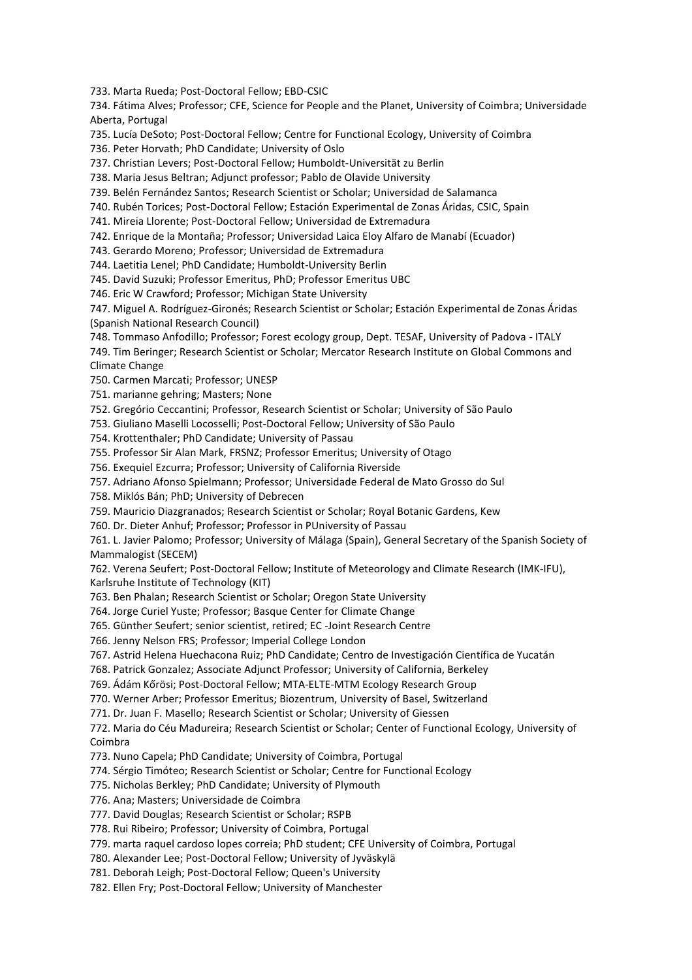733. Marta Rueda; Post-Doctoral Fellow; EBD-CSIC

734. Fátima Alves; Professor; CFE, Science for People and the Planet, University of Coimbra; Universidade Aberta, Portugal

735. Lucía DeSoto; Post-Doctoral Fellow; Centre for Functional Ecology, University of Coimbra

736. Peter Horvath; PhD Candidate; University of Oslo

737. Christian Levers; Post-Doctoral Fellow; Humboldt-Universität zu Berlin

738. Maria Jesus Beltran; Adjunct professor; Pablo de Olavide University

739. Belén Fernández Santos; Research Scientist or Scholar; Universidad de Salamanca

740. Rubén Torices; Post-Doctoral Fellow; Estación Experimental de Zonas Áridas, CSIC, Spain

741. Mireia Llorente; Post-Doctoral Fellow; Universidad de Extremadura

742. Enrique de la Montaña; Professor; Universidad Laica Eloy Alfaro de Manabí (Ecuador)

743. Gerardo Moreno; Professor; Universidad de Extremadura

744. Laetitia Lenel; PhD Candidate; Humboldt-University Berlin

745. David Suzuki; Professor Emeritus, PhD; Professor Emeritus UBC

746. Eric W Crawford; Professor; Michigan State University

747. Miguel A. Rodríguez-Gironés; Research Scientist or Scholar; Estación Experimental de Zonas Áridas (Spanish National Research Council)

748. Tommaso Anfodillo; Professor; Forest ecology group, Dept. TESAF, University of Padova - ITALY

749. Tim Beringer; Research Scientist or Scholar; Mercator Research Institute on Global Commons and Climate Change

750. Carmen Marcati; Professor; UNESP

751. marianne gehring; Masters; None

752. Gregório Ceccantini; Professor, Research Scientist or Scholar; University of São Paulo

753. Giuliano Maselli Locosselli; Post-Doctoral Fellow; University of São Paulo

754. Krottenthaler; PhD Candidate; University of Passau

755. Professor Sir Alan Mark, FRSNZ; Professor Emeritus; University of Otago

756. Exequiel Ezcurra; Professor; University of California Riverside

757. Adriano Afonso Spielmann; Professor; Universidade Federal de Mato Grosso do Sul

758. Miklós Bán; PhD; University of Debrecen

759. Mauricio Diazgranados; Research Scientist or Scholar; Royal Botanic Gardens, Kew

760. Dr. Dieter Anhuf; Professor; Professor in PUniversity of Passau

761. L. Javier Palomo; Professor; University of Málaga (Spain), General Secretary of the Spanish Society of Mammalogist (SECEM)

762. Verena Seufert; Post-Doctoral Fellow; Institute of Meteorology and Climate Research (IMK-IFU),

Karlsruhe Institute of Technology (KIT)

763. Ben Phalan; Research Scientist or Scholar; Oregon State University

764. Jorge Curiel Yuste; Professor; Basque Center for Climate Change

765. Günther Seufert; senior scientist, retired; EC -Joint Research Centre

766. Jenny Nelson FRS; Professor; Imperial College London

767. Astrid Helena Huechacona Ruiz; PhD Candidate; Centro de Investigación Científica de Yucatán

768. Patrick Gonzalez; Associate Adjunct Professor; University of California, Berkeley

769. Ádám Kőrösi; Post-Doctoral Fellow; MTA-ELTE-MTM Ecology Research Group

770. Werner Arber; Professor Emeritus; Biozentrum, University of Basel, Switzerland

771. Dr. Juan F. Masello; Research Scientist or Scholar; University of Giessen

772. Maria do Céu Madureira; Research Scientist or Scholar; Center of Functional Ecology, University of Coimbra

773. Nuno Capela; PhD Candidate; University of Coimbra, Portugal

774. Sérgio Timóteo; Research Scientist or Scholar; Centre for Functional Ecology

775. Nicholas Berkley; PhD Candidate; University of Plymouth

776. Ana; Masters; Universidade de Coimbra

777. David Douglas; Research Scientist or Scholar; RSPB

778. Rui Ribeiro; Professor; University of Coimbra, Portugal

779. marta raquel cardoso lopes correia; PhD student; CFE University of Coimbra, Portugal

780. Alexander Lee; Post-Doctoral Fellow; University of Jyväskylä

781. Deborah Leigh; Post-Doctoral Fellow; Queen's University

782. Ellen Fry; Post-Doctoral Fellow; University of Manchester